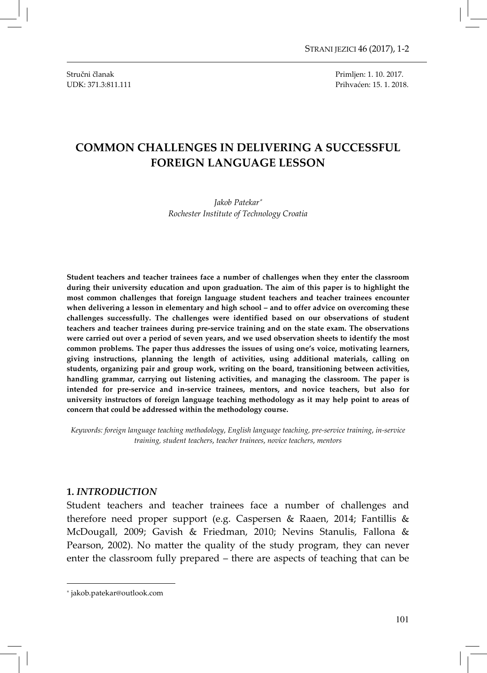Stručni članak Primljen: 1. 10. 2017. UDK: 371.3:811.111 Prihvaćen: 15. 1. 2018.

# COMMON CHALLENGES IN DELIVERING A SUCCESSFUL FOREIGN LANGUAGE LESSON

#### Jakob Patekar<sup>∗</sup> Rochester Institute of Technology Croatia

Student teachers and teacher trainees face a number of challenges when they enter the classroom during their university education and upon graduation. The aim of this paper is to highlight the most common challenges that foreign language student teachers and teacher trainees encounter when delivering a lesson in elementary and high school – and to offer advice on overcoming these challenges successfully. The challenges were identified based on our observations of student teachers and teacher trainees during pre-service training and on the state exam. The observations were carried out over a period of seven years, and we used observation sheets to identify the most common problems. The paper thus addresses the issues of using one's voice, motivating learners, giving instructions, planning the length of activities, using additional materials, calling on students, organizing pair and group work, writing on the board, transitioning between activities, handling grammar, carrying out listening activities, and managing the classroom. The paper is intended for pre-service and in-service trainees, mentors, and novice teachers, but also for university instructors of foreign language teaching methodology as it may help point to areas of concern that could be addressed within the methodology course.

Keywords: foreign language teaching methodology, English language teaching, pre-service training, in-service training, student teachers, teacher trainees, novice teachers, mentors

#### 1. INTRODUCTION

Student teachers and teacher trainees face a number of challenges and therefore need proper support (e.g. Caspersen & Raaen, 2014; Fantillis & McDougall, 2009; Gavish & Friedman, 2010; Nevins Stanulis, Fallona & Pearson, 2002). No matter the quality of the study program, they can never enter the classroom fully prepared – there are aspects of teaching that can be

 $\overline{\phantom{0}}$ 

<sup>∗</sup> jakob.patekar@outlook.com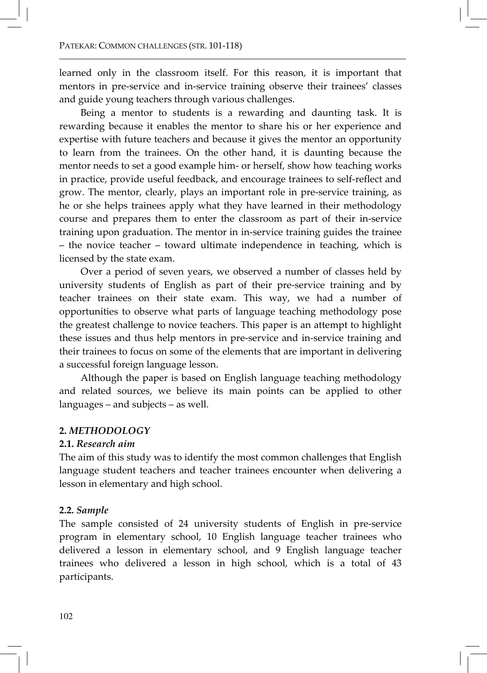learned only in the classroom itself. For this reason, it is important that mentors in pre-service and in-service training observe their trainees' classes and guide young teachers through various challenges.

Being a mentor to students is a rewarding and daunting task. It is rewarding because it enables the mentor to share his or her experience and expertise with future teachers and because it gives the mentor an opportunity to learn from the trainees. On the other hand, it is daunting because the mentor needs to set a good example him- or herself, show how teaching works in practice, provide useful feedback, and encourage trainees to self-reflect and grow. The mentor, clearly, plays an important role in pre-service training, as he or she helps trainees apply what they have learned in their methodology course and prepares them to enter the classroom as part of their in-service training upon graduation. The mentor in in-service training guides the trainee – the novice teacher – toward ultimate independence in teaching, which is licensed by the state exam.

Over a period of seven years, we observed a number of classes held by university students of English as part of their pre-service training and by teacher trainees on their state exam. This way, we had a number of opportunities to observe what parts of language teaching methodology pose the greatest challenge to novice teachers. This paper is an attempt to highlight these issues and thus help mentors in pre-service and in-service training and their trainees to focus on some of the elements that are important in delivering a successful foreign language lesson.

Although the paper is based on English language teaching methodology and related sources, we believe its main points can be applied to other languages – and subjects – as well.

# 2. METHODOLOGY

## 2.1. Research aim

The aim of this study was to identify the most common challenges that English language student teachers and teacher trainees encounter when delivering a lesson in elementary and high school.

# 2.2. Sample

The sample consisted of 24 university students of English in pre-service program in elementary school, 10 English language teacher trainees who delivered a lesson in elementary school, and 9 English language teacher trainees who delivered a lesson in high school, which is a total of 43 participants.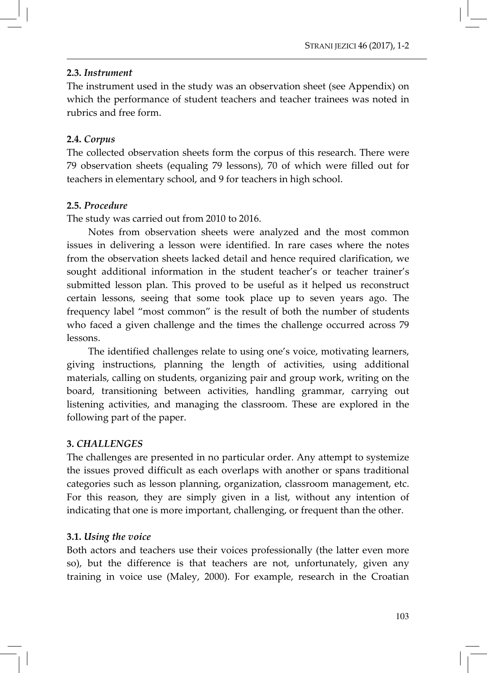# 2.3. Instrument

The instrument used in the study was an observation sheet (see Appendix) on which the performance of student teachers and teacher trainees was noted in rubrics and free form.

# 2.4. Corpus

The collected observation sheets form the corpus of this research. There were 79 observation sheets (equaling 79 lessons), 70 of which were filled out for teachers in elementary school, and 9 for teachers in high school.

# 2.5. Procedure

The study was carried out from 2010 to 2016.

Notes from observation sheets were analyzed and the most common issues in delivering a lesson were identified. In rare cases where the notes from the observation sheets lacked detail and hence required clarification, we sought additional information in the student teacher's or teacher trainer's submitted lesson plan. This proved to be useful as it helped us reconstruct certain lessons, seeing that some took place up to seven years ago. The frequency label "most common" is the result of both the number of students who faced a given challenge and the times the challenge occurred across 79 lessons.

The identified challenges relate to using one's voice, motivating learners, giving instructions, planning the length of activities, using additional materials, calling on students, organizing pair and group work, writing on the board, transitioning between activities, handling grammar, carrying out listening activities, and managing the classroom. These are explored in the following part of the paper.

# 3. CHALLENGES

The challenges are presented in no particular order. Any attempt to systemize the issues proved difficult as each overlaps with another or spans traditional categories such as lesson planning, organization, classroom management, etc. For this reason, they are simply given in a list, without any intention of indicating that one is more important, challenging, or frequent than the other.

# 3.1. Using the voice

Both actors and teachers use their voices professionally (the latter even more so), but the difference is that teachers are not, unfortunately, given any training in voice use (Maley, 2000). For example, research in the Croatian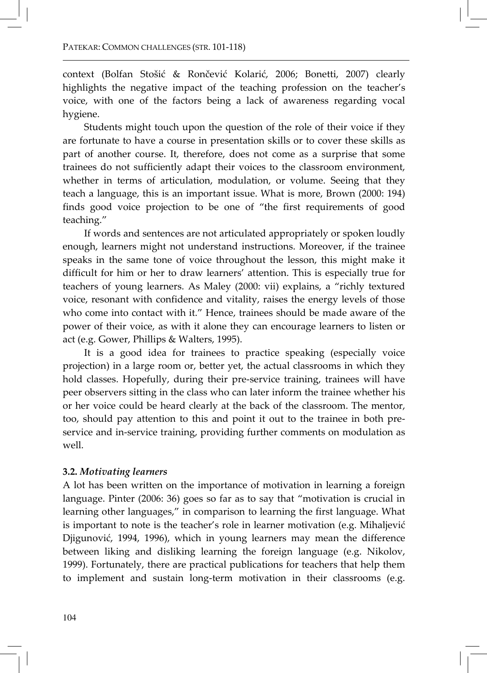context (Bolfan Stošić & Rončević Kolarić, 2006; Bonetti, 2007) clearly highlights the negative impact of the teaching profession on the teacher's voice, with one of the factors being a lack of awareness regarding vocal hygiene.

Students might touch upon the question of the role of their voice if they are fortunate to have a course in presentation skills or to cover these skills as part of another course. It, therefore, does not come as a surprise that some trainees do not sufficiently adapt their voices to the classroom environment, whether in terms of articulation, modulation, or volume. Seeing that they teach a language, this is an important issue. What is more, Brown (2000: 194) finds good voice projection to be one of "the first requirements of good teaching."

If words and sentences are not articulated appropriately or spoken loudly enough, learners might not understand instructions. Moreover, if the trainee speaks in the same tone of voice throughout the lesson, this might make it difficult for him or her to draw learners' attention. This is especially true for teachers of young learners. As Maley (2000: vii) explains, a "richly textured voice, resonant with confidence and vitality, raises the energy levels of those who come into contact with it." Hence, trainees should be made aware of the power of their voice, as with it alone they can encourage learners to listen or act (e.g. Gower, Phillips & Walters, 1995).

It is a good idea for trainees to practice speaking (especially voice projection) in a large room or, better yet, the actual classrooms in which they hold classes. Hopefully, during their pre-service training, trainees will have peer observers sitting in the class who can later inform the trainee whether his or her voice could be heard clearly at the back of the classroom. The mentor, too, should pay attention to this and point it out to the trainee in both preservice and in-service training, providing further comments on modulation as well.

## 3.2. Motivating learners

A lot has been written on the importance of motivation in learning a foreign language. Pinter (2006: 36) goes so far as to say that "motivation is crucial in learning other languages," in comparison to learning the first language. What is important to note is the teacher's role in learner motivation (e.g. Mihaljević Djigunović, 1994, 1996), which in young learners may mean the difference between liking and disliking learning the foreign language (e.g. Nikolov, 1999). Fortunately, there are practical publications for teachers that help them to implement and sustain long-term motivation in their classrooms (e.g.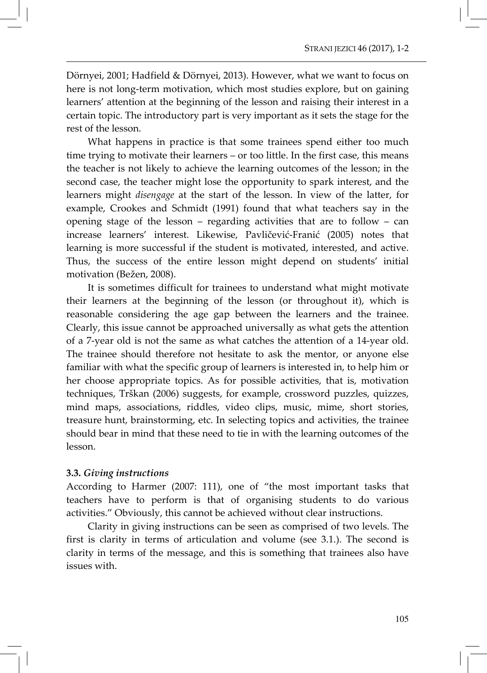Dörnyei, 2001; Hadfield & Dörnyei, 2013). However, what we want to focus on here is not long-term motivation, which most studies explore, but on gaining learners' attention at the beginning of the lesson and raising their interest in a certain topic. The introductory part is very important as it sets the stage for the rest of the lesson.

What happens in practice is that some trainees spend either too much time trying to motivate their learners – or too little. In the first case, this means the teacher is not likely to achieve the learning outcomes of the lesson; in the second case, the teacher might lose the opportunity to spark interest, and the learners might disengage at the start of the lesson. In view of the latter, for example, Crookes and Schmidt (1991) found that what teachers say in the opening stage of the lesson – regarding activities that are to follow – can increase learners' interest. Likewise, Pavličević-Franić (2005) notes that learning is more successful if the student is motivated, interested, and active. Thus, the success of the entire lesson might depend on students' initial motivation (Bežen, 2008).

It is sometimes difficult for trainees to understand what might motivate their learners at the beginning of the lesson (or throughout it), which is reasonable considering the age gap between the learners and the trainee. Clearly, this issue cannot be approached universally as what gets the attention of a 7-year old is not the same as what catches the attention of a 14-year old. The trainee should therefore not hesitate to ask the mentor, or anyone else familiar with what the specific group of learners is interested in, to help him or her choose appropriate topics. As for possible activities, that is, motivation techniques, Trškan (2006) suggests, for example, crossword puzzles, quizzes, mind maps, associations, riddles, video clips, music, mime, short stories, treasure hunt, brainstorming, etc. In selecting topics and activities, the trainee should bear in mind that these need to tie in with the learning outcomes of the lesson.

# 3.3. Giving instructions

According to Harmer (2007: 111), one of "the most important tasks that teachers have to perform is that of organising students to do various activities." Obviously, this cannot be achieved without clear instructions.

Clarity in giving instructions can be seen as comprised of two levels. The first is clarity in terms of articulation and volume (see 3.1.). The second is clarity in terms of the message, and this is something that trainees also have issues with.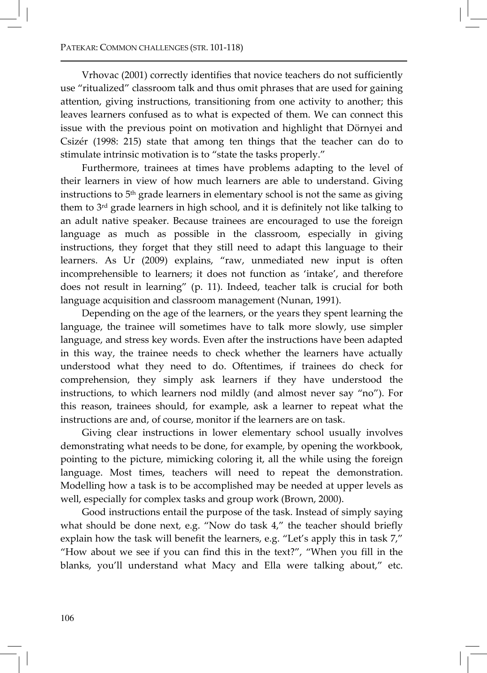Vrhovac (2001) correctly identifies that novice teachers do not sufficiently use "ritualized" classroom talk and thus omit phrases that are used for gaining attention, giving instructions, transitioning from one activity to another; this leaves learners confused as to what is expected of them. We can connect this issue with the previous point on motivation and highlight that Dörnyei and Csizér (1998: 215) state that among ten things that the teacher can do to stimulate intrinsic motivation is to "state the tasks properly."

Furthermore, trainees at times have problems adapting to the level of their learners in view of how much learners are able to understand. Giving instructions to 5<sup>th</sup> grade learners in elementary school is not the same as giving them to 3rd grade learners in high school, and it is definitely not like talking to an adult native speaker. Because trainees are encouraged to use the foreign language as much as possible in the classroom, especially in giving instructions, they forget that they still need to adapt this language to their learners. As Ur (2009) explains, "raw, unmediated new input is often incomprehensible to learners; it does not function as 'intake', and therefore does not result in learning" (p. 11). Indeed, teacher talk is crucial for both language acquisition and classroom management (Nunan, 1991).

Depending on the age of the learners, or the years they spent learning the language, the trainee will sometimes have to talk more slowly, use simpler language, and stress key words. Even after the instructions have been adapted in this way, the trainee needs to check whether the learners have actually understood what they need to do. Oftentimes, if trainees do check for comprehension, they simply ask learners if they have understood the instructions, to which learners nod mildly (and almost never say "no"). For this reason, trainees should, for example, ask a learner to repeat what the instructions are and, of course, monitor if the learners are on task.

Giving clear instructions in lower elementary school usually involves demonstrating what needs to be done, for example, by opening the workbook, pointing to the picture, mimicking coloring it, all the while using the foreign language. Most times, teachers will need to repeat the demonstration. Modelling how a task is to be accomplished may be needed at upper levels as well, especially for complex tasks and group work (Brown, 2000).

Good instructions entail the purpose of the task. Instead of simply saying what should be done next, e.g. "Now do task 4," the teacher should briefly explain how the task will benefit the learners, e.g. "Let's apply this in task 7," "How about we see if you can find this in the text?", "When you fill in the blanks, you'll understand what Macy and Ella were talking about," etc.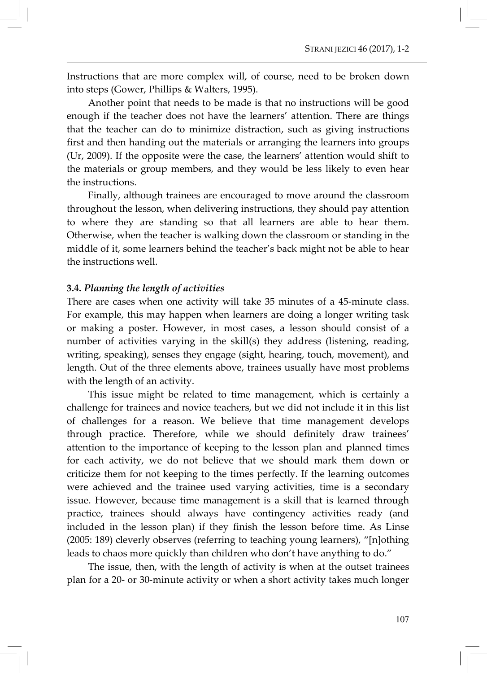Instructions that are more complex will, of course, need to be broken down into steps (Gower, Phillips & Walters, 1995).

Another point that needs to be made is that no instructions will be good enough if the teacher does not have the learners' attention. There are things that the teacher can do to minimize distraction, such as giving instructions first and then handing out the materials or arranging the learners into groups (Ur, 2009). If the opposite were the case, the learners' attention would shift to the materials or group members, and they would be less likely to even hear the instructions.

Finally, although trainees are encouraged to move around the classroom throughout the lesson, when delivering instructions, they should pay attention to where they are standing so that all learners are able to hear them. Otherwise, when the teacher is walking down the classroom or standing in the middle of it, some learners behind the teacher's back might not be able to hear the instructions well.

#### 3.4. Planning the length of activities

There are cases when one activity will take 35 minutes of a 45-minute class. For example, this may happen when learners are doing a longer writing task or making a poster. However, in most cases, a lesson should consist of a number of activities varying in the skill(s) they address (listening, reading, writing, speaking), senses they engage (sight, hearing, touch, movement), and length. Out of the three elements above, trainees usually have most problems with the length of an activity.

This issue might be related to time management, which is certainly a challenge for trainees and novice teachers, but we did not include it in this list of challenges for a reason. We believe that time management develops through practice. Therefore, while we should definitely draw trainees' attention to the importance of keeping to the lesson plan and planned times for each activity, we do not believe that we should mark them down or criticize them for not keeping to the times perfectly. If the learning outcomes were achieved and the trainee used varying activities, time is a secondary issue. However, because time management is a skill that is learned through practice, trainees should always have contingency activities ready (and included in the lesson plan) if they finish the lesson before time. As Linse (2005: 189) cleverly observes (referring to teaching young learners), "[n]othing leads to chaos more quickly than children who don't have anything to do."

The issue, then, with the length of activity is when at the outset trainees plan for a 20- or 30-minute activity or when a short activity takes much longer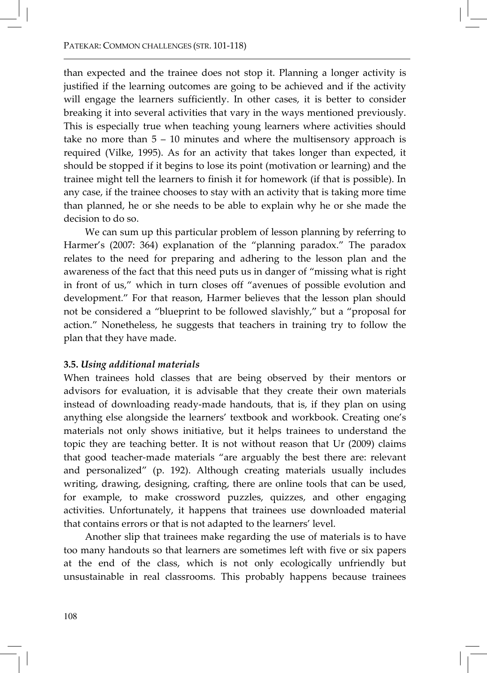than expected and the trainee does not stop it. Planning a longer activity is justified if the learning outcomes are going to be achieved and if the activity will engage the learners sufficiently. In other cases, it is better to consider breaking it into several activities that vary in the ways mentioned previously. This is especially true when teaching young learners where activities should take no more than 5 – 10 minutes and where the multisensory approach is required (Vilke, 1995). As for an activity that takes longer than expected, it should be stopped if it begins to lose its point (motivation or learning) and the trainee might tell the learners to finish it for homework (if that is possible). In any case, if the trainee chooses to stay with an activity that is taking more time than planned, he or she needs to be able to explain why he or she made the decision to do so.

We can sum up this particular problem of lesson planning by referring to Harmer's (2007: 364) explanation of the "planning paradox." The paradox relates to the need for preparing and adhering to the lesson plan and the awareness of the fact that this need puts us in danger of "missing what is right in front of us," which in turn closes off "avenues of possible evolution and development." For that reason, Harmer believes that the lesson plan should not be considered a "blueprint to be followed slavishly," but a "proposal for action." Nonetheless, he suggests that teachers in training try to follow the plan that they have made.

# 3.5. Using additional materials

When trainees hold classes that are being observed by their mentors or advisors for evaluation, it is advisable that they create their own materials instead of downloading ready-made handouts, that is, if they plan on using anything else alongside the learners' textbook and workbook. Creating one's materials not only shows initiative, but it helps trainees to understand the topic they are teaching better. It is not without reason that Ur (2009) claims that good teacher-made materials "are arguably the best there are: relevant and personalized" (p. 192). Although creating materials usually includes writing, drawing, designing, crafting, there are online tools that can be used, for example, to make crossword puzzles, quizzes, and other engaging activities. Unfortunately, it happens that trainees use downloaded material that contains errors or that is not adapted to the learners' level.

Another slip that trainees make regarding the use of materials is to have too many handouts so that learners are sometimes left with five or six papers at the end of the class, which is not only ecologically unfriendly but unsustainable in real classrooms. This probably happens because trainees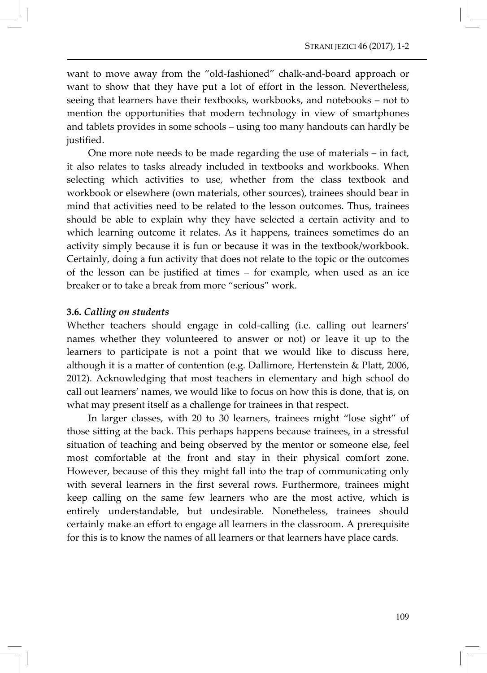want to move away from the "old-fashioned" chalk-and-board approach or want to show that they have put a lot of effort in the lesson. Nevertheless, seeing that learners have their textbooks, workbooks, and notebooks – not to mention the opportunities that modern technology in view of smartphones and tablets provides in some schools – using too many handouts can hardly be justified.

One more note needs to be made regarding the use of materials – in fact, it also relates to tasks already included in textbooks and workbooks. When selecting which activities to use, whether from the class textbook and workbook or elsewhere (own materials, other sources), trainees should bear in mind that activities need to be related to the lesson outcomes. Thus, trainees should be able to explain why they have selected a certain activity and to which learning outcome it relates. As it happens, trainees sometimes do an activity simply because it is fun or because it was in the textbook/workbook. Certainly, doing a fun activity that does not relate to the topic or the outcomes of the lesson can be justified at times – for example, when used as an ice breaker or to take a break from more "serious" work.

#### 3.6. Calling on students

Whether teachers should engage in cold-calling (i.e. calling out learners' names whether they volunteered to answer or not) or leave it up to the learners to participate is not a point that we would like to discuss here, although it is a matter of contention (e.g. Dallimore, Hertenstein & Platt, 2006, 2012). Acknowledging that most teachers in elementary and high school do call out learners' names, we would like to focus on how this is done, that is, on what may present itself as a challenge for trainees in that respect.

In larger classes, with 20 to 30 learners, trainees might "lose sight" of those sitting at the back. This perhaps happens because trainees, in a stressful situation of teaching and being observed by the mentor or someone else, feel most comfortable at the front and stay in their physical comfort zone. However, because of this they might fall into the trap of communicating only with several learners in the first several rows. Furthermore, trainees might keep calling on the same few learners who are the most active, which is entirely understandable, but undesirable. Nonetheless, trainees should certainly make an effort to engage all learners in the classroom. A prerequisite for this is to know the names of all learners or that learners have place cards.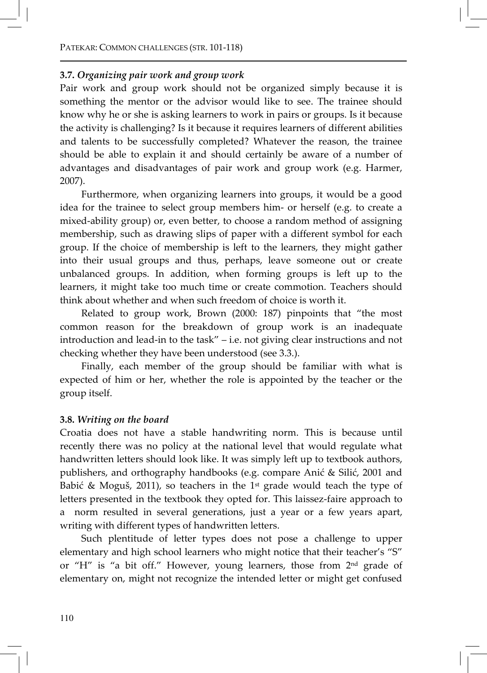## 3.7. Organizing pair work and group work

Pair work and group work should not be organized simply because it is something the mentor or the advisor would like to see. The trainee should know why he or she is asking learners to work in pairs or groups. Is it because the activity is challenging? Is it because it requires learners of different abilities and talents to be successfully completed? Whatever the reason, the trainee should be able to explain it and should certainly be aware of a number of advantages and disadvantages of pair work and group work (e.g. Harmer, 2007).

Furthermore, when organizing learners into groups, it would be a good idea for the trainee to select group members him- or herself (e.g. to create a mixed-ability group) or, even better, to choose a random method of assigning membership, such as drawing slips of paper with a different symbol for each group. If the choice of membership is left to the learners, they might gather into their usual groups and thus, perhaps, leave someone out or create unbalanced groups. In addition, when forming groups is left up to the learners, it might take too much time or create commotion. Teachers should think about whether and when such freedom of choice is worth it.

Related to group work, Brown (2000: 187) pinpoints that "the most common reason for the breakdown of group work is an inadequate introduction and lead-in to the task" – i.e. not giving clear instructions and not checking whether they have been understood (see 3.3.).

Finally, each member of the group should be familiar with what is expected of him or her, whether the role is appointed by the teacher or the group itself.

## 3.8. Writing on the board

Croatia does not have a stable handwriting norm. This is because until recently there was no policy at the national level that would regulate what handwritten letters should look like. It was simply left up to textbook authors, publishers, and orthography handbooks (e.g. compare Anić & Silić, 2001 and Babić & Moguš, 2011), so teachers in the 1<sup>st</sup> grade would teach the type of letters presented in the textbook they opted for. This laissez-faire approach to a norm resulted in several generations, just a year or a few years apart, writing with different types of handwritten letters.

Such plentitude of letter types does not pose a challenge to upper elementary and high school learners who might notice that their teacher's "S" or "H" is "a bit off." However, young learners, those from 2nd grade of elementary on, might not recognize the intended letter or might get confused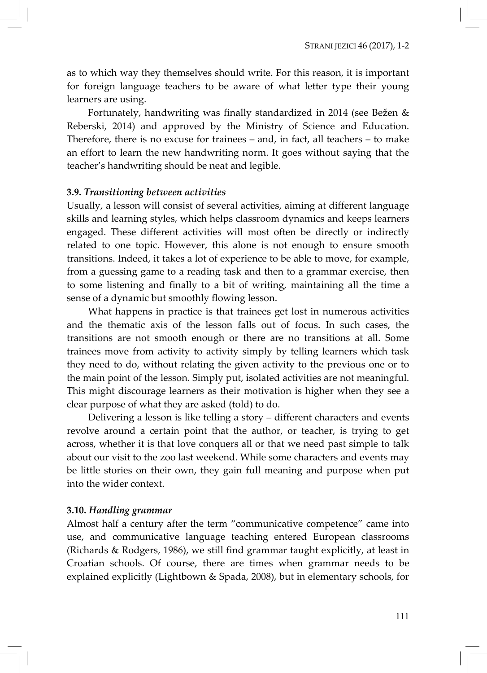as to which way they themselves should write. For this reason, it is important for foreign language teachers to be aware of what letter type their young learners are using.

Fortunately, handwriting was finally standardized in 2014 (see Bežen & Reberski, 2014) and approved by the Ministry of Science and Education. Therefore, there is no excuse for trainees – and, in fact, all teachers – to make an effort to learn the new handwriting norm. It goes without saying that the teacher's handwriting should be neat and legible.

#### 3.9. Transitioning between activities

Usually, a lesson will consist of several activities, aiming at different language skills and learning styles, which helps classroom dynamics and keeps learners engaged. These different activities will most often be directly or indirectly related to one topic. However, this alone is not enough to ensure smooth transitions. Indeed, it takes a lot of experience to be able to move, for example, from a guessing game to a reading task and then to a grammar exercise, then to some listening and finally to a bit of writing, maintaining all the time a sense of a dynamic but smoothly flowing lesson.

What happens in practice is that trainees get lost in numerous activities and the thematic axis of the lesson falls out of focus. In such cases, the transitions are not smooth enough or there are no transitions at all. Some trainees move from activity to activity simply by telling learners which task they need to do, without relating the given activity to the previous one or to the main point of the lesson. Simply put, isolated activities are not meaningful. This might discourage learners as their motivation is higher when they see a clear purpose of what they are asked (told) to do.

Delivering a lesson is like telling a story – different characters and events revolve around a certain point that the author, or teacher, is trying to get across, whether it is that love conquers all or that we need past simple to talk about our visit to the zoo last weekend. While some characters and events may be little stories on their own, they gain full meaning and purpose when put into the wider context.

#### 3.10. Handling grammar

Almost half a century after the term "communicative competence" came into use, and communicative language teaching entered European classrooms (Richards & Rodgers, 1986), we still find grammar taught explicitly, at least in Croatian schools. Of course, there are times when grammar needs to be explained explicitly (Lightbown & Spada, 2008), but in elementary schools, for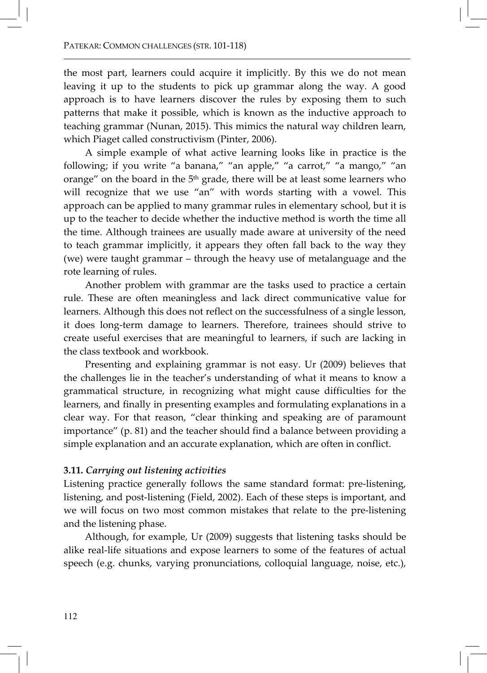the most part, learners could acquire it implicitly. By this we do not mean leaving it up to the students to pick up grammar along the way. A good approach is to have learners discover the rules by exposing them to such patterns that make it possible, which is known as the inductive approach to teaching grammar (Nunan, 2015). This mimics the natural way children learn, which Piaget called constructivism (Pinter, 2006).

A simple example of what active learning looks like in practice is the following; if you write "a banana," "an apple," "a carrot," "a mango," "an orange" on the board in the  $5<sup>th</sup>$  grade, there will be at least some learners who will recognize that we use "an" with words starting with a vowel. This approach can be applied to many grammar rules in elementary school, but it is up to the teacher to decide whether the inductive method is worth the time all the time. Although trainees are usually made aware at university of the need to teach grammar implicitly, it appears they often fall back to the way they (we) were taught grammar – through the heavy use of metalanguage and the rote learning of rules.

Another problem with grammar are the tasks used to practice a certain rule. These are often meaningless and lack direct communicative value for learners. Although this does not reflect on the successfulness of a single lesson, it does long-term damage to learners. Therefore, trainees should strive to create useful exercises that are meaningful to learners, if such are lacking in the class textbook and workbook.

Presenting and explaining grammar is not easy. Ur (2009) believes that the challenges lie in the teacher's understanding of what it means to know a grammatical structure, in recognizing what might cause difficulties for the learners, and finally in presenting examples and formulating explanations in a clear way. For that reason, "clear thinking and speaking are of paramount importance" (p. 81) and the teacher should find a balance between providing a simple explanation and an accurate explanation, which are often in conflict.

## 3.11. Carrying out listening activities

Listening practice generally follows the same standard format: pre-listening, listening, and post-listening (Field, 2002). Each of these steps is important, and we will focus on two most common mistakes that relate to the pre-listening and the listening phase.

Although, for example, Ur (2009) suggests that listening tasks should be alike real-life situations and expose learners to some of the features of actual speech (e.g. chunks, varying pronunciations, colloquial language, noise, etc.),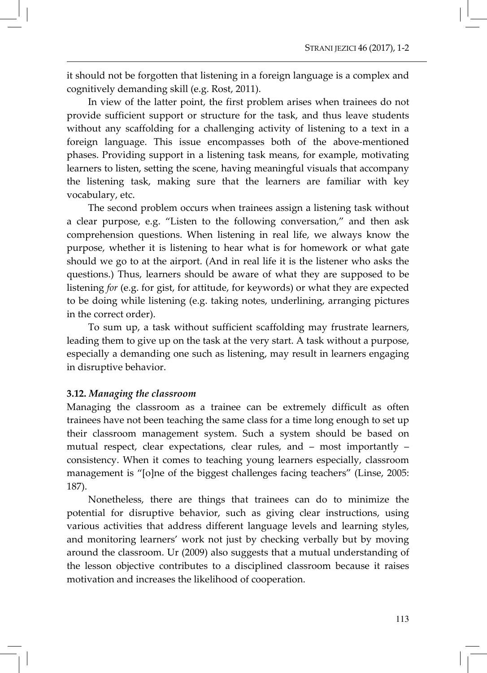it should not be forgotten that listening in a foreign language is a complex and cognitively demanding skill (e.g. Rost, 2011).

In view of the latter point, the first problem arises when trainees do not provide sufficient support or structure for the task, and thus leave students without any scaffolding for a challenging activity of listening to a text in a foreign language. This issue encompasses both of the above-mentioned phases. Providing support in a listening task means, for example, motivating learners to listen, setting the scene, having meaningful visuals that accompany the listening task, making sure that the learners are familiar with key vocabulary, etc.

The second problem occurs when trainees assign a listening task without a clear purpose, e.g. "Listen to the following conversation," and then ask comprehension questions. When listening in real life, we always know the purpose, whether it is listening to hear what is for homework or what gate should we go to at the airport. (And in real life it is the listener who asks the questions.) Thus, learners should be aware of what they are supposed to be listening for (e.g. for gist, for attitude, for keywords) or what they are expected to be doing while listening (e.g. taking notes, underlining, arranging pictures in the correct order).

To sum up, a task without sufficient scaffolding may frustrate learners, leading them to give up on the task at the very start. A task without a purpose, especially a demanding one such as listening, may result in learners engaging in disruptive behavior.

## 3.12. Managing the classroom

Managing the classroom as a trainee can be extremely difficult as often trainees have not been teaching the same class for a time long enough to set up their classroom management system. Such a system should be based on mutual respect, clear expectations, clear rules, and – most importantly – consistency. When it comes to teaching young learners especially, classroom management is "[o]ne of the biggest challenges facing teachers" (Linse, 2005: 187).

Nonetheless, there are things that trainees can do to minimize the potential for disruptive behavior, such as giving clear instructions, using various activities that address different language levels and learning styles, and monitoring learners' work not just by checking verbally but by moving around the classroom. Ur (2009) also suggests that a mutual understanding of the lesson objective contributes to a disciplined classroom because it raises motivation and increases the likelihood of cooperation.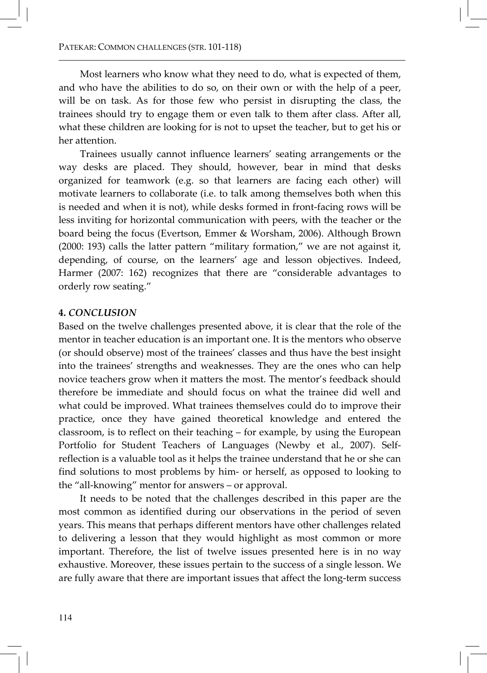Most learners who know what they need to do, what is expected of them, and who have the abilities to do so, on their own or with the help of a peer, will be on task. As for those few who persist in disrupting the class, the trainees should try to engage them or even talk to them after class. After all, what these children are looking for is not to upset the teacher, but to get his or her attention.

Trainees usually cannot influence learners' seating arrangements or the way desks are placed. They should, however, bear in mind that desks organized for teamwork (e.g. so that learners are facing each other) will motivate learners to collaborate (i.e. to talk among themselves both when this is needed and when it is not), while desks formed in front-facing rows will be less inviting for horizontal communication with peers, with the teacher or the board being the focus (Evertson, Emmer & Worsham, 2006). Although Brown (2000: 193) calls the latter pattern "military formation," we are not against it, depending, of course, on the learners' age and lesson objectives. Indeed, Harmer (2007: 162) recognizes that there are "considerable advantages to orderly row seating."

## 4. CONCLUSION

Based on the twelve challenges presented above, it is clear that the role of the mentor in teacher education is an important one. It is the mentors who observe (or should observe) most of the trainees' classes and thus have the best insight into the trainees' strengths and weaknesses. They are the ones who can help novice teachers grow when it matters the most. The mentor's feedback should therefore be immediate and should focus on what the trainee did well and what could be improved. What trainees themselves could do to improve their practice, once they have gained theoretical knowledge and entered the classroom, is to reflect on their teaching – for example, by using the European Portfolio for Student Teachers of Languages (Newby et al., 2007). Selfreflection is a valuable tool as it helps the trainee understand that he or she can find solutions to most problems by him- or herself, as opposed to looking to the "all-knowing" mentor for answers – or approval.

It needs to be noted that the challenges described in this paper are the most common as identified during our observations in the period of seven years. This means that perhaps different mentors have other challenges related to delivering a lesson that they would highlight as most common or more important. Therefore, the list of twelve issues presented here is in no way exhaustive. Moreover, these issues pertain to the success of a single lesson. We are fully aware that there are important issues that affect the long-term success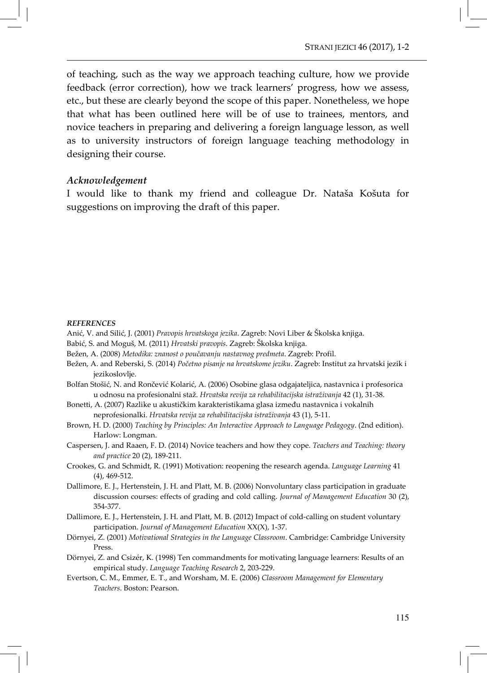of teaching, such as the way we approach teaching culture, how we provide feedback (error correction), how we track learners' progress, how we assess, etc., but these are clearly beyond the scope of this paper. Nonetheless, we hope that what has been outlined here will be of use to trainees, mentors, and novice teachers in preparing and delivering a foreign language lesson, as well as to university instructors of foreign language teaching methodology in designing their course.

#### Acknowledgement

I would like to thank my friend and colleague Dr. Nataša Košuta for suggestions on improving the draft of this paper.

#### **REFERENCES**

- Anić, V. and Silić, J. (2001) Pravopis hrvatskoga jezika. Zagreb: Novi Liber & Školska knjiga.
- Babić, S. and Moguš, M. (2011) Hrvatski pravopis. Zagreb: Školska knjiga.
- Bežen, A. (2008) Metodika: znanost o poučavanju nastavnog predmeta. Zagreb: Profil.
- Bežen, A. and Reberski, S. (2014) Početno pisanje na hrvatskome jeziku. Zagreb: Institut za hrvatski jezik i jezikoslovlje.
- Bolfan Stošić, N. and Rončević Kolarić, A. (2006) Osobine glasa odgajateljica, nastavnica i profesorica u odnosu na profesionalni staž. Hrvatska revija za rehabilitacijska istraživanja 42 (1), 31-38.
- Bonetti, A. (2007) Razlike u akustičkim karakteristikama glasa između nastavnica i vokalnih neprofesionalki. Hrvatska revija za rehabilitacijska istraživanja 43 (1), 5-11.
- Brown, H. D. (2000) Teaching by Principles: An Interactive Approach to Language Pedagogy. (2nd edition). Harlow: Longman.
- Caspersen, J. and Raaen, F. D. (2014) Novice teachers and how they cope. Teachers and Teaching: theory and practice 20 (2), 189-211.
- Crookes, G. and Schmidt, R. (1991) Motivation: reopening the research agenda. Language Learning 41 (4), 469-512.
- Dallimore, E. J., Hertenstein, J. H. and Platt, M. B. (2006) Nonvoluntary class participation in graduate discussion courses: effects of grading and cold calling. Journal of Management Education 30 (2), 354-377.
- Dallimore, E. J., Hertenstein, J. H. and Platt, M. B. (2012) Impact of cold-calling on student voluntary participation. Journal of Management Education XX(X), 1-37.
- Dörnyei, Z. (2001) Motivational Strategies in the Language Classroom. Cambridge: Cambridge University Press.
- Dörnyei, Z. and Csizér, K. (1998) Ten commandments for motivating language learners: Results of an empirical study. Language Teaching Research 2, 203-229.
- Evertson, C. M., Emmer, E. T., and Worsham, M. E. (2006) Classroom Management for Elementary Teachers. Boston: Pearson.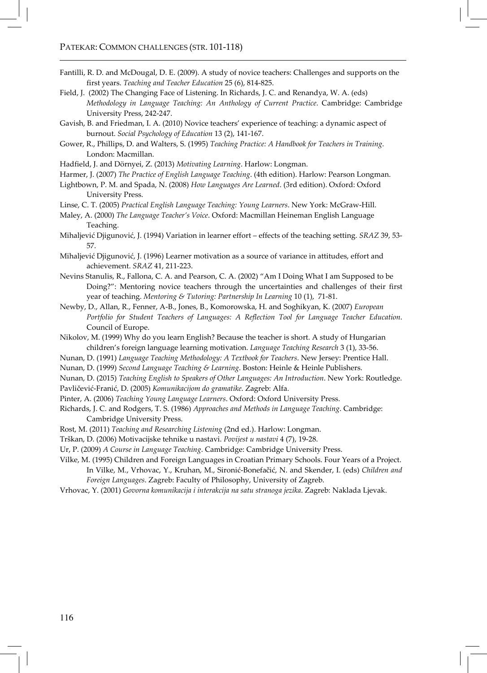- Fantilli, R. D. and McDougal, D. E. (2009). A study of novice teachers: Challenges and supports on the first years. Teaching and Teacher Education 25 (6), 814-825.
- Field, J. (2002) The Changing Face of Listening. In Richards, J. C. and Renandya, W. A. (eds) Methodology in Language Teaching: An Anthology of Current Practice. Cambridge: Cambridge University Press, 242-247.
- Gavish, B. and Friedman, I. A. (2010) Novice teachers' experience of teaching: a dynamic aspect of burnout. Social Psychology of Education 13 (2), 141-167.
- Gower, R., Phillips, D. and Walters, S. (1995) Teaching Practice: A Handbook for Teachers in Training. London: Macmillan.
- Hadfield, J. and Dörnyei, Z. (2013) Motivating Learning. Harlow: Longman.
- Harmer, J. (2007) The Practice of English Language Teaching. (4th edition). Harlow: Pearson Longman.
- Lightbown, P. M. and Spada, N. (2008) How Languages Are Learned. (3rd edition). Oxford: Oxford University Press.
- Linse, C. T. (2005) Practical English Language Teaching: Young Learners. New York: McGraw-Hill.
- Maley, A. (2000) The Language Teacher's Voice. Oxford: Macmillan Heineman English Language Teaching.
- Mihaljević Djigunović, J. (1994) Variation in learner effort effects of the teaching setting. SRAZ 39, 53- 57.
- Mihaljević Djigunović, J. (1996) Learner motivation as a source of variance in attitudes, effort and achievement. SRAZ 41, 211-223.
- Nevins Stanulis, R., Fallona, C. A. and Pearson, C. A. (2002) "Am I Doing What I am Supposed to be Doing?": Mentoring novice teachers through the uncertainties and challenges of their first year of teaching. Mentoring & Tutoring: Partnership In Learning 10 (1), 71-81.
- Newby, D., Allan, R., Fenner, A-B., Jones, B., Komorowska, H. and Soghikyan, K. (2007) European Portfolio for Student Teachers of Languages: A Reflection Tool for Language Teacher Education. Council of Europe.
- Nikolov, M. (1999) Why do you learn English? Because the teacher is short. A study of Hungarian children's foreign language learning motivation. Language Teaching Research 3 (1), 33-56.
- Nunan, D. (1991) Language Teaching Methodology: A Textbook for Teachers. New Jersey: Prentice Hall.
- Nunan, D. (1999) Second Language Teaching & Learning. Boston: Heinle & Heinle Publishers.
- Nunan, D. (2015) Teaching English to Speakers of Other Languages: An Introduction. New York: Routledge.
- Pavličević-Franić, D. (2005) Komunikacijom do gramatike. Zagreb: Alfa.
- Pinter, A. (2006) Teaching Young Language Learners. Oxford: Oxford University Press.
- Richards, J. C. and Rodgers, T. S. (1986) Approaches and Methods in Language Teaching. Cambridge: Cambridge University Press.
- Rost, M. (2011) Teaching and Researching Listening (2nd ed.). Harlow: Longman.
- Trškan, D. (2006) Motivacijske tehnike u nastavi. Povijest u nastavi 4 (7), 19-28.
- Ur, P. (2009) A Course in Language Teaching. Cambridge: Cambridge University Press.

Vilke, M. (1995) Children and Foreign Languages in Croatian Primary Schools. Four Years of a Project. In Vilke, M., Vrhovac, Y., Kruhan, M., Sironić-Bonefačić, N. and Skender, I. (eds) Children and Foreign Languages. Zagreb: Faculty of Philosophy, University of Zagreb.

Vrhovac, Y. (2001) Govorna komunikacija i interakcija na satu stranoga jezika. Zagreb: Naklada Ljevak.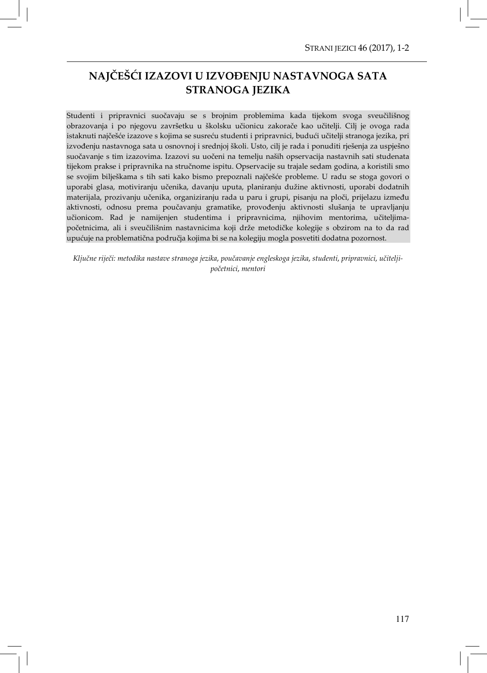# NAJČEŠĆI IZAZOVI U IZVOĐENJU NASTAVNOGA SATA STRANOGA JEZIKA

Studenti i pripravnici suočavaju se s brojnim problemima kada tijekom svoga sveučilišnog obrazovanja i po njegovu završetku u školsku učionicu zakorače kao učitelji. Cilj je ovoga rada istaknuti najčešće izazove s kojima se susreću studenti i pripravnici, budući učitelji stranoga jezika, pri izvođenju nastavnoga sata u osnovnoj i srednjoj školi. Usto, cilj je rada i ponuditi rješenja za uspješno suočavanje s tim izazovima. Izazovi su uočeni na temelju naših opservacija nastavnih sati studenata tijekom prakse i pripravnika na stručnome ispitu. Opservacije su trajale sedam godina, a koristili smo se svojim bilješkama s tih sati kako bismo prepoznali najčešće probleme. U radu se stoga govori o uporabi glasa, motiviranju učenika, davanju uputa, planiranju dužine aktivnosti, uporabi dodatnih materijala, prozivanju učenika, organiziranju rada u paru i grupi, pisanju na ploči, prijelazu između aktivnosti, odnosu prema poučavanju gramatike, provođenju aktivnosti slušanja te upravljanju učionicom. Rad je namijenjen studentima i pripravnicima, njihovim mentorima, učiteljimapočetnicima, ali i sveučilišnim nastavnicima koji drže metodičke kolegije s obzirom na to da rad upućuje na problematična područja kojima bi se na kolegiju mogla posvetiti dodatna pozornost.

Ključne riječi: metodika nastave stranoga jezika, poučavanje engleskoga jezika, studenti, pripravnici, učiteljipočetnici, mentori